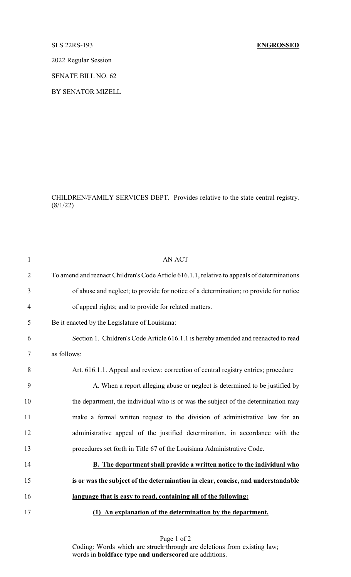## SLS 22RS-193 **ENGROSSED**

2022 Regular Session

SENATE BILL NO. 62

BY SENATOR MIZELL

CHILDREN/FAMILY SERVICES DEPT. Provides relative to the state central registry.  $(8/1/22)$ 

| $\mathbf{1}$   | <b>AN ACT</b>                                                                               |
|----------------|---------------------------------------------------------------------------------------------|
| $\overline{2}$ | To amend and reenact Children's Code Article 616.1.1, relative to appeals of determinations |
| 3              | of abuse and neglect; to provide for notice of a determination; to provide for notice       |
| $\overline{4}$ | of appeal rights; and to provide for related matters.                                       |
| 5              | Be it enacted by the Legislature of Louisiana:                                              |
| 6              | Section 1. Children's Code Article 616.1.1 is hereby amended and reenacted to read          |
| 7              | as follows:                                                                                 |
| 8              | Art. 616.1.1. Appeal and review; correction of central registry entries; procedure          |
| 9              | A. When a report alleging abuse or neglect is determined to be justified by                 |
| 10             | the department, the individual who is or was the subject of the determination may           |
| 11             | make a formal written request to the division of administrative law for an                  |
| 12             | administrative appeal of the justified determination, in accordance with the                |
| 13             | procedures set forth in Title 67 of the Louisiana Administrative Code.                      |
| 14             | B. The department shall provide a written notice to the individual who                      |
| 15             | is or was the subject of the determination in clear, concise, and understandable            |
| 16             | language that is easy to read, containing all of the following:                             |
| 17             | (1) An explanation of the determination by the department.                                  |

Page 1 of 2 Coding: Words which are struck through are deletions from existing law; words in **boldface type and underscored** are additions.